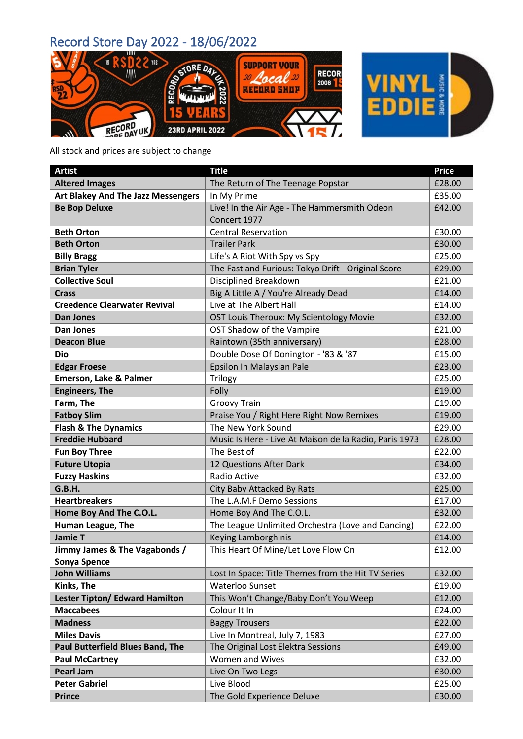



All stock and prices are subject to change

| <b>Artist</b>                           | <b>Title</b>                                           | <b>Price</b> |
|-----------------------------------------|--------------------------------------------------------|--------------|
| <b>Altered Images</b>                   | The Return of The Teenage Popstar                      | £28.00       |
| Art Blakey And The Jazz Messengers      | In My Prime                                            | £35.00       |
| <b>Be Bop Deluxe</b>                    | Live! In the Air Age - The Hammersmith Odeon           | £42.00       |
|                                         | Concert 1977                                           |              |
| <b>Beth Orton</b>                       | <b>Central Reservation</b>                             | £30.00       |
| <b>Beth Orton</b>                       | <b>Trailer Park</b>                                    | £30.00       |
| <b>Billy Bragg</b>                      | Life's A Riot With Spy vs Spy                          | £25.00       |
| <b>Brian Tyler</b>                      | The Fast and Furious: Tokyo Drift - Original Score     | £29.00       |
| <b>Collective Soul</b>                  | Disciplined Breakdown                                  | £21.00       |
| <b>Crass</b>                            | Big A Little A / You're Already Dead                   | £14.00       |
| <b>Creedence Clearwater Revival</b>     | Live at The Albert Hall                                | £14.00       |
| <b>Dan Jones</b>                        | OST Louis Theroux: My Scientology Movie                | £32.00       |
| Dan Jones                               | OST Shadow of the Vampire                              | £21.00       |
| <b>Deacon Blue</b>                      | Raintown (35th anniversary)                            | £28.00       |
| <b>Dio</b>                              | Double Dose Of Donington - '83 & '87                   | £15.00       |
| <b>Edgar Froese</b>                     | Epsilon In Malaysian Pale                              | £23.00       |
| <b>Emerson, Lake &amp; Palmer</b>       | Trilogy                                                | £25.00       |
| <b>Engineers, The</b>                   | Folly                                                  | £19.00       |
| Farm, The                               | <b>Groovy Train</b>                                    | £19.00       |
| <b>Fatboy Slim</b>                      | Praise You / Right Here Right Now Remixes              | £19.00       |
| <b>Flash &amp; The Dynamics</b>         | The New York Sound                                     | £29.00       |
| <b>Freddie Hubbard</b>                  | Music Is Here - Live At Maison de la Radio, Paris 1973 | £28.00       |
| <b>Fun Boy Three</b>                    | The Best of                                            | £22.00       |
| <b>Future Utopia</b>                    | 12 Questions After Dark                                | £34.00       |
| <b>Fuzzy Haskins</b>                    | Radio Active                                           | £32.00       |
| G.B.H.                                  | City Baby Attacked By Rats                             | £25.00       |
| <b>Heartbreakers</b>                    | The L.A.M.F Demo Sessions                              | £17.00       |
| Home Boy And The C.O.L.                 | Home Boy And The C.O.L.                                | £32.00       |
| Human League, The                       | The League Unlimited Orchestra (Love and Dancing)      | £22.00       |
| <b>Jamie T</b>                          | Keying Lamborghinis                                    | £14.00       |
| Jimmy James & The Vagabonds /           | This Heart Of Mine/Let Love Flow On                    | £12.00       |
| Sonya Spence                            |                                                        |              |
| <b>John Williams</b>                    | Lost In Space: Title Themes from the Hit TV Series     | £32.00       |
| Kinks, The                              | <b>Waterloo Sunset</b>                                 | £19.00       |
| <b>Lester Tipton/ Edward Hamilton</b>   | This Won't Change/Baby Don't You Weep                  | £12.00       |
| <b>Maccabees</b>                        | Colour It In                                           | £24.00       |
| <b>Madness</b>                          | <b>Baggy Trousers</b>                                  | £22.00       |
| <b>Miles Davis</b>                      | Live In Montreal, July 7, 1983                         | £27.00       |
| <b>Paul Butterfield Blues Band, The</b> | The Original Lost Elektra Sessions                     | £49.00       |
| <b>Paul McCartney</b>                   | Women and Wives                                        | £32.00       |
| <b>Pearl Jam</b>                        | Live On Two Legs                                       | £30.00       |
| <b>Peter Gabriel</b>                    | Live Blood                                             | £25.00       |
| <b>Prince</b>                           | The Gold Experience Deluxe                             | £30.00       |